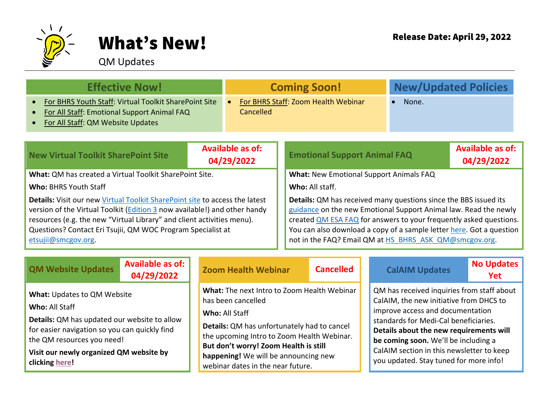

## What's New! Release Date: April 29, 2022

## QM Updates

| <b>Effective Now!</b>                                                                                                                                                                                                                                                                                                                   |                                       | <b>Coming Soon!</b>                              |                                                                                                                                                                                                                                                                                                                                                     | <b>New/Updated Policies</b> |                                       |  |  |  |
|-----------------------------------------------------------------------------------------------------------------------------------------------------------------------------------------------------------------------------------------------------------------------------------------------------------------------------------------|---------------------------------------|--------------------------------------------------|-----------------------------------------------------------------------------------------------------------------------------------------------------------------------------------------------------------------------------------------------------------------------------------------------------------------------------------------------------|-----------------------------|---------------------------------------|--|--|--|
| For BHRS Youth Staff: Virtual Toolkit SharePoint Site<br>$\bullet$<br>For All Staff: Emotional Support Animal FAQ<br>$\bullet$<br>For All Staff: QM Website Updates<br>$\bullet$                                                                                                                                                        |                                       | For BHRS Staff: Zoom Health Webinar<br>Cancelled |                                                                                                                                                                                                                                                                                                                                                     | None.                       |                                       |  |  |  |
| <b>New Virtual Toolkit SharePoint Site</b>                                                                                                                                                                                                                                                                                              | <b>Available as of:</b><br>04/29/2022 |                                                  | <b>Emotional Support Animal FAQ</b>                                                                                                                                                                                                                                                                                                                 |                             | <b>Available as of:</b><br>04/29/2022 |  |  |  |
| <b>What: QM has created a Virtual Toolkit SharePoint Site.</b>                                                                                                                                                                                                                                                                          |                                       |                                                  | <b>What: New Emotional Support Animals FAQ</b>                                                                                                                                                                                                                                                                                                      |                             |                                       |  |  |  |
| <b>Who: BHRS Youth Staff</b>                                                                                                                                                                                                                                                                                                            |                                       |                                                  | Who: All staff.                                                                                                                                                                                                                                                                                                                                     |                             |                                       |  |  |  |
| <b>Details:</b> Visit our new Virtual Toolkit SharePoint site to access the latest<br>version of the Virtual Toolkit ( <i>Edition 3</i> now available!) and other handy<br>resources (e.g. the new "Virtual Library" and client activities menu).<br>Questions? Contact Eri Tsujii, QM WOC Program Specialist at<br>etsujij@smcgov.org. |                                       |                                                  | <b>Details:</b> QM has received many questions since the BBS issued its<br>guidance on the new Emotional Support Animal law. Read the newly<br>created QM ESA FAQ for answers to your frequently asked questions.<br>You can also download a copy of a sample letter here. Got a question<br>not in the FAQ? Email QM at HS BHRS ASK QM@smcgov.org. |                             |                                       |  |  |  |

| <b>QM Website Updates</b>                                                                                                                                                                                                                        | <b>Available as of:</b><br>04/29/2022 |                                             | <b>Zoom Health Webinar</b>                                                                                                                                                                                                                                     | <b>Cancelled</b> | <b>CalAIM Updates</b>                                                                                                                                                                                                                                                                                                                        | No Updates<br>Yet |
|--------------------------------------------------------------------------------------------------------------------------------------------------------------------------------------------------------------------------------------------------|---------------------------------------|---------------------------------------------|----------------------------------------------------------------------------------------------------------------------------------------------------------------------------------------------------------------------------------------------------------------|------------------|----------------------------------------------------------------------------------------------------------------------------------------------------------------------------------------------------------------------------------------------------------------------------------------------------------------------------------------------|-------------------|
| <b>What: Updates to QM Website</b><br>Who: All Staff<br>Details: QM has updated our website to allow<br>for easier navigation so you can quickly find<br>the QM resources you need!<br>Visit our newly organized QM website by<br>clicking here! |                                       | has been cancelled<br><b>Who:</b> All Staff | What: The next Intro to Zoom Health Webinar<br>Details: QM has unfortunately had to cancel<br>the upcoming Intro to Zoom Health Webinar.<br>But don't worry! Zoom Health is still<br>happening! We will be announcing new<br>webinar dates in the near future. |                  | QM has received inquiries from staff about<br>CalAIM, the new initiative from DHCS to<br>improve access and documentation<br>standards for Medi-Cal beneficiaries.<br>Details about the new requirements will<br>be coming soon. We'll be including a<br>CalAIM section in this newsletter to keep<br>you updated. Stay tuned for more info! |                   |